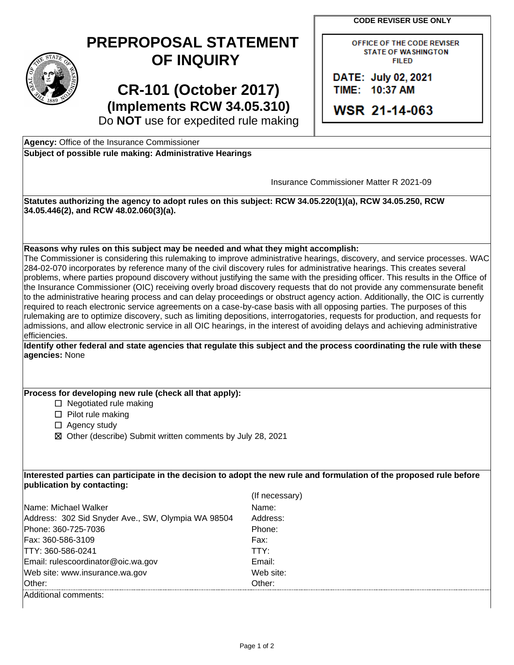**CODE REVISER USE ONLY** 

| $\widehat{\text{STAT}_E}$<br>¢ |
|--------------------------------|
| 1889                           |

## **PREPROPOSAL STATEMENT OF INQUIRY**

**CR-101 (October 2017) (Implements RCW 34.05.310)**  OFFICE OF THE CODE REVISER **STATE OF WASHINGTON** FIILED

**DATE: July 02, 2021** TIIME: 110:37 **AM** 

**WSR 2 1-114-063** 

Do **NOT** use for expedited rule making

| Subject of possible rule making: Administrative Hearings<br>Insurance Commissioner Matter R 2021-09<br>Statutes authorizing the agency to adopt rules on this subject: RCW 34.05.220(1)(a), RCW 34.05.250, RCW<br>34.05.446(2), and RCW 48.02.060(3)(a).<br>Reasons why rules on this subject may be needed and what they might accomplish:<br>284-02-070 incorporates by reference many of the civil discovery rules for administrative hearings. This creates several<br>problems, where parties propound discovery without justifying the same with the presiding officer. This results in the Office of<br>the Insurance Commissioner (OIC) receiving overly broad discovery requests that do not provide any commensurate benefit<br>to the administrative hearing process and can delay proceedings or obstruct agency action. Additionally, the OIC is currently<br>required to reach electronic service agreements on a case-by-case basis with all opposing parties. The purposes of this<br>rulemaking are to optimize discovery, such as limiting depositions, interrogatories, requests for production, and requests for<br>admissions, and allow electronic service in all OIC hearings, in the interest of avoiding delays and achieving administrative<br>efficiencies.<br>Identify other federal and state agencies that regulate this subject and the process coordinating the rule with these<br>agencies: None<br>Process for developing new rule (check all that apply):<br>$\Box$ Negotiated rule making<br>$\Box$ Pilot rule making<br>$\Box$ Agency study<br>⊠ Other (describe) Submit written comments by July 28, 2021<br>Interested parties can participate in the decision to adopt the new rule and formulation of the proposed rule before<br>publication by contacting:<br>(If necessary)<br>Name: Michael Walker<br>Name:<br>Address: 302 Sid Snyder Ave., SW, Olympia WA 98504<br>Address:<br>Phone: 360-725-7036<br>Phone:<br>Fax: 360-586-3109<br>Fax:<br>TTY: 360-586-0241<br>TTY:<br>Email: rulescoordinator@oic.wa.gov<br>Email:<br>Web site: www.insurance.wa.gov<br>Web site: | Agency: Office of the Insurance Commissioner |  |  |
|----------------------------------------------------------------------------------------------------------------------------------------------------------------------------------------------------------------------------------------------------------------------------------------------------------------------------------------------------------------------------------------------------------------------------------------------------------------------------------------------------------------------------------------------------------------------------------------------------------------------------------------------------------------------------------------------------------------------------------------------------------------------------------------------------------------------------------------------------------------------------------------------------------------------------------------------------------------------------------------------------------------------------------------------------------------------------------------------------------------------------------------------------------------------------------------------------------------------------------------------------------------------------------------------------------------------------------------------------------------------------------------------------------------------------------------------------------------------------------------------------------------------------------------------------------------------------------------------------------------------------------------------------------------------------------------------------------------------------------------------------------------------------------------------------------------------------------------------------------------------------------------------------------------------------------------------------------------------------------------------------------------------------------------------------------------------------------------------------------------------|----------------------------------------------|--|--|
|                                                                                                                                                                                                                                                                                                                                                                                                                                                                                                                                                                                                                                                                                                                                                                                                                                                                                                                                                                                                                                                                                                                                                                                                                                                                                                                                                                                                                                                                                                                                                                                                                                                                                                                                                                                                                                                                                                                                                                                                                                                                                                                      |                                              |  |  |
|                                                                                                                                                                                                                                                                                                                                                                                                                                                                                                                                                                                                                                                                                                                                                                                                                                                                                                                                                                                                                                                                                                                                                                                                                                                                                                                                                                                                                                                                                                                                                                                                                                                                                                                                                                                                                                                                                                                                                                                                                                                                                                                      |                                              |  |  |
|                                                                                                                                                                                                                                                                                                                                                                                                                                                                                                                                                                                                                                                                                                                                                                                                                                                                                                                                                                                                                                                                                                                                                                                                                                                                                                                                                                                                                                                                                                                                                                                                                                                                                                                                                                                                                                                                                                                                                                                                                                                                                                                      |                                              |  |  |
|                                                                                                                                                                                                                                                                                                                                                                                                                                                                                                                                                                                                                                                                                                                                                                                                                                                                                                                                                                                                                                                                                                                                                                                                                                                                                                                                                                                                                                                                                                                                                                                                                                                                                                                                                                                                                                                                                                                                                                                                                                                                                                                      |                                              |  |  |
|                                                                                                                                                                                                                                                                                                                                                                                                                                                                                                                                                                                                                                                                                                                                                                                                                                                                                                                                                                                                                                                                                                                                                                                                                                                                                                                                                                                                                                                                                                                                                                                                                                                                                                                                                                                                                                                                                                                                                                                                                                                                                                                      |                                              |  |  |
| The Commissioner is considering this rulemaking to improve administrative hearings, discovery, and service processes. WAC                                                                                                                                                                                                                                                                                                                                                                                                                                                                                                                                                                                                                                                                                                                                                                                                                                                                                                                                                                                                                                                                                                                                                                                                                                                                                                                                                                                                                                                                                                                                                                                                                                                                                                                                                                                                                                                                                                                                                                                            |                                              |  |  |
|                                                                                                                                                                                                                                                                                                                                                                                                                                                                                                                                                                                                                                                                                                                                                                                                                                                                                                                                                                                                                                                                                                                                                                                                                                                                                                                                                                                                                                                                                                                                                                                                                                                                                                                                                                                                                                                                                                                                                                                                                                                                                                                      |                                              |  |  |
|                                                                                                                                                                                                                                                                                                                                                                                                                                                                                                                                                                                                                                                                                                                                                                                                                                                                                                                                                                                                                                                                                                                                                                                                                                                                                                                                                                                                                                                                                                                                                                                                                                                                                                                                                                                                                                                                                                                                                                                                                                                                                                                      |                                              |  |  |
|                                                                                                                                                                                                                                                                                                                                                                                                                                                                                                                                                                                                                                                                                                                                                                                                                                                                                                                                                                                                                                                                                                                                                                                                                                                                                                                                                                                                                                                                                                                                                                                                                                                                                                                                                                                                                                                                                                                                                                                                                                                                                                                      |                                              |  |  |
|                                                                                                                                                                                                                                                                                                                                                                                                                                                                                                                                                                                                                                                                                                                                                                                                                                                                                                                                                                                                                                                                                                                                                                                                                                                                                                                                                                                                                                                                                                                                                                                                                                                                                                                                                                                                                                                                                                                                                                                                                                                                                                                      |                                              |  |  |
|                                                                                                                                                                                                                                                                                                                                                                                                                                                                                                                                                                                                                                                                                                                                                                                                                                                                                                                                                                                                                                                                                                                                                                                                                                                                                                                                                                                                                                                                                                                                                                                                                                                                                                                                                                                                                                                                                                                                                                                                                                                                                                                      |                                              |  |  |
|                                                                                                                                                                                                                                                                                                                                                                                                                                                                                                                                                                                                                                                                                                                                                                                                                                                                                                                                                                                                                                                                                                                                                                                                                                                                                                                                                                                                                                                                                                                                                                                                                                                                                                                                                                                                                                                                                                                                                                                                                                                                                                                      |                                              |  |  |
|                                                                                                                                                                                                                                                                                                                                                                                                                                                                                                                                                                                                                                                                                                                                                                                                                                                                                                                                                                                                                                                                                                                                                                                                                                                                                                                                                                                                                                                                                                                                                                                                                                                                                                                                                                                                                                                                                                                                                                                                                                                                                                                      |                                              |  |  |
|                                                                                                                                                                                                                                                                                                                                                                                                                                                                                                                                                                                                                                                                                                                                                                                                                                                                                                                                                                                                                                                                                                                                                                                                                                                                                                                                                                                                                                                                                                                                                                                                                                                                                                                                                                                                                                                                                                                                                                                                                                                                                                                      |                                              |  |  |
|                                                                                                                                                                                                                                                                                                                                                                                                                                                                                                                                                                                                                                                                                                                                                                                                                                                                                                                                                                                                                                                                                                                                                                                                                                                                                                                                                                                                                                                                                                                                                                                                                                                                                                                                                                                                                                                                                                                                                                                                                                                                                                                      |                                              |  |  |
|                                                                                                                                                                                                                                                                                                                                                                                                                                                                                                                                                                                                                                                                                                                                                                                                                                                                                                                                                                                                                                                                                                                                                                                                                                                                                                                                                                                                                                                                                                                                                                                                                                                                                                                                                                                                                                                                                                                                                                                                                                                                                                                      |                                              |  |  |
|                                                                                                                                                                                                                                                                                                                                                                                                                                                                                                                                                                                                                                                                                                                                                                                                                                                                                                                                                                                                                                                                                                                                                                                                                                                                                                                                                                                                                                                                                                                                                                                                                                                                                                                                                                                                                                                                                                                                                                                                                                                                                                                      |                                              |  |  |
|                                                                                                                                                                                                                                                                                                                                                                                                                                                                                                                                                                                                                                                                                                                                                                                                                                                                                                                                                                                                                                                                                                                                                                                                                                                                                                                                                                                                                                                                                                                                                                                                                                                                                                                                                                                                                                                                                                                                                                                                                                                                                                                      |                                              |  |  |
|                                                                                                                                                                                                                                                                                                                                                                                                                                                                                                                                                                                                                                                                                                                                                                                                                                                                                                                                                                                                                                                                                                                                                                                                                                                                                                                                                                                                                                                                                                                                                                                                                                                                                                                                                                                                                                                                                                                                                                                                                                                                                                                      |                                              |  |  |
|                                                                                                                                                                                                                                                                                                                                                                                                                                                                                                                                                                                                                                                                                                                                                                                                                                                                                                                                                                                                                                                                                                                                                                                                                                                                                                                                                                                                                                                                                                                                                                                                                                                                                                                                                                                                                                                                                                                                                                                                                                                                                                                      |                                              |  |  |
|                                                                                                                                                                                                                                                                                                                                                                                                                                                                                                                                                                                                                                                                                                                                                                                                                                                                                                                                                                                                                                                                                                                                                                                                                                                                                                                                                                                                                                                                                                                                                                                                                                                                                                                                                                                                                                                                                                                                                                                                                                                                                                                      |                                              |  |  |
|                                                                                                                                                                                                                                                                                                                                                                                                                                                                                                                                                                                                                                                                                                                                                                                                                                                                                                                                                                                                                                                                                                                                                                                                                                                                                                                                                                                                                                                                                                                                                                                                                                                                                                                                                                                                                                                                                                                                                                                                                                                                                                                      |                                              |  |  |
|                                                                                                                                                                                                                                                                                                                                                                                                                                                                                                                                                                                                                                                                                                                                                                                                                                                                                                                                                                                                                                                                                                                                                                                                                                                                                                                                                                                                                                                                                                                                                                                                                                                                                                                                                                                                                                                                                                                                                                                                                                                                                                                      |                                              |  |  |
|                                                                                                                                                                                                                                                                                                                                                                                                                                                                                                                                                                                                                                                                                                                                                                                                                                                                                                                                                                                                                                                                                                                                                                                                                                                                                                                                                                                                                                                                                                                                                                                                                                                                                                                                                                                                                                                                                                                                                                                                                                                                                                                      |                                              |  |  |
|                                                                                                                                                                                                                                                                                                                                                                                                                                                                                                                                                                                                                                                                                                                                                                                                                                                                                                                                                                                                                                                                                                                                                                                                                                                                                                                                                                                                                                                                                                                                                                                                                                                                                                                                                                                                                                                                                                                                                                                                                                                                                                                      |                                              |  |  |
|                                                                                                                                                                                                                                                                                                                                                                                                                                                                                                                                                                                                                                                                                                                                                                                                                                                                                                                                                                                                                                                                                                                                                                                                                                                                                                                                                                                                                                                                                                                                                                                                                                                                                                                                                                                                                                                                                                                                                                                                                                                                                                                      |                                              |  |  |
|                                                                                                                                                                                                                                                                                                                                                                                                                                                                                                                                                                                                                                                                                                                                                                                                                                                                                                                                                                                                                                                                                                                                                                                                                                                                                                                                                                                                                                                                                                                                                                                                                                                                                                                                                                                                                                                                                                                                                                                                                                                                                                                      |                                              |  |  |
|                                                                                                                                                                                                                                                                                                                                                                                                                                                                                                                                                                                                                                                                                                                                                                                                                                                                                                                                                                                                                                                                                                                                                                                                                                                                                                                                                                                                                                                                                                                                                                                                                                                                                                                                                                                                                                                                                                                                                                                                                                                                                                                      |                                              |  |  |
|                                                                                                                                                                                                                                                                                                                                                                                                                                                                                                                                                                                                                                                                                                                                                                                                                                                                                                                                                                                                                                                                                                                                                                                                                                                                                                                                                                                                                                                                                                                                                                                                                                                                                                                                                                                                                                                                                                                                                                                                                                                                                                                      |                                              |  |  |
|                                                                                                                                                                                                                                                                                                                                                                                                                                                                                                                                                                                                                                                                                                                                                                                                                                                                                                                                                                                                                                                                                                                                                                                                                                                                                                                                                                                                                                                                                                                                                                                                                                                                                                                                                                                                                                                                                                                                                                                                                                                                                                                      |                                              |  |  |
|                                                                                                                                                                                                                                                                                                                                                                                                                                                                                                                                                                                                                                                                                                                                                                                                                                                                                                                                                                                                                                                                                                                                                                                                                                                                                                                                                                                                                                                                                                                                                                                                                                                                                                                                                                                                                                                                                                                                                                                                                                                                                                                      |                                              |  |  |
|                                                                                                                                                                                                                                                                                                                                                                                                                                                                                                                                                                                                                                                                                                                                                                                                                                                                                                                                                                                                                                                                                                                                                                                                                                                                                                                                                                                                                                                                                                                                                                                                                                                                                                                                                                                                                                                                                                                                                                                                                                                                                                                      |                                              |  |  |
|                                                                                                                                                                                                                                                                                                                                                                                                                                                                                                                                                                                                                                                                                                                                                                                                                                                                                                                                                                                                                                                                                                                                                                                                                                                                                                                                                                                                                                                                                                                                                                                                                                                                                                                                                                                                                                                                                                                                                                                                                                                                                                                      |                                              |  |  |
|                                                                                                                                                                                                                                                                                                                                                                                                                                                                                                                                                                                                                                                                                                                                                                                                                                                                                                                                                                                                                                                                                                                                                                                                                                                                                                                                                                                                                                                                                                                                                                                                                                                                                                                                                                                                                                                                                                                                                                                                                                                                                                                      |                                              |  |  |
|                                                                                                                                                                                                                                                                                                                                                                                                                                                                                                                                                                                                                                                                                                                                                                                                                                                                                                                                                                                                                                                                                                                                                                                                                                                                                                                                                                                                                                                                                                                                                                                                                                                                                                                                                                                                                                                                                                                                                                                                                                                                                                                      |                                              |  |  |
|                                                                                                                                                                                                                                                                                                                                                                                                                                                                                                                                                                                                                                                                                                                                                                                                                                                                                                                                                                                                                                                                                                                                                                                                                                                                                                                                                                                                                                                                                                                                                                                                                                                                                                                                                                                                                                                                                                                                                                                                                                                                                                                      |                                              |  |  |
|                                                                                                                                                                                                                                                                                                                                                                                                                                                                                                                                                                                                                                                                                                                                                                                                                                                                                                                                                                                                                                                                                                                                                                                                                                                                                                                                                                                                                                                                                                                                                                                                                                                                                                                                                                                                                                                                                                                                                                                                                                                                                                                      |                                              |  |  |
|                                                                                                                                                                                                                                                                                                                                                                                                                                                                                                                                                                                                                                                                                                                                                                                                                                                                                                                                                                                                                                                                                                                                                                                                                                                                                                                                                                                                                                                                                                                                                                                                                                                                                                                                                                                                                                                                                                                                                                                                                                                                                                                      |                                              |  |  |
| Other:<br>Other:                                                                                                                                                                                                                                                                                                                                                                                                                                                                                                                                                                                                                                                                                                                                                                                                                                                                                                                                                                                                                                                                                                                                                                                                                                                                                                                                                                                                                                                                                                                                                                                                                                                                                                                                                                                                                                                                                                                                                                                                                                                                                                     |                                              |  |  |
| Additional comments:                                                                                                                                                                                                                                                                                                                                                                                                                                                                                                                                                                                                                                                                                                                                                                                                                                                                                                                                                                                                                                                                                                                                                                                                                                                                                                                                                                                                                                                                                                                                                                                                                                                                                                                                                                                                                                                                                                                                                                                                                                                                                                 |                                              |  |  |